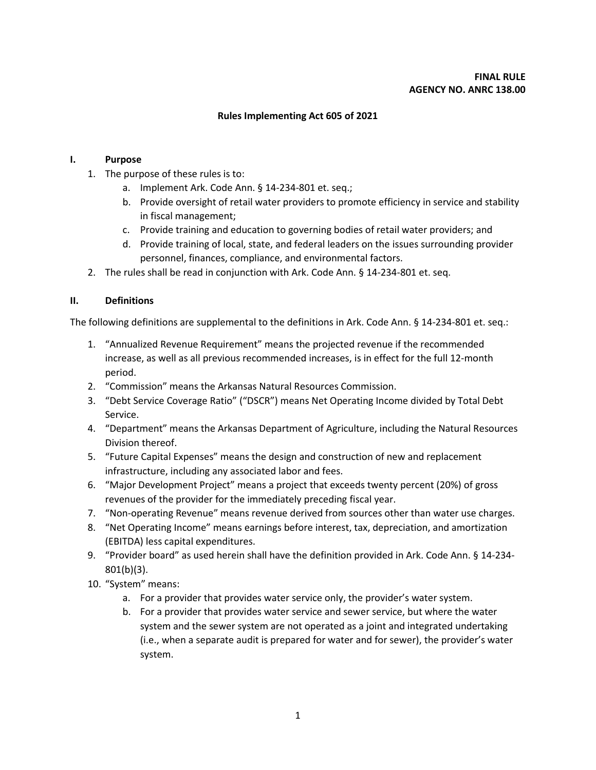### **Rules Implementing Act 605 of 2021**

### **I. Purpose**

- 1. The purpose of these rules is to:
	- a. Implement Ark. Code Ann. § 14-234-801 et. seq.;
	- b. Provide oversight of retail water providers to promote efficiency in service and stability in fiscal management;
	- c. Provide training and education to governing bodies of retail water providers; and
	- d. Provide training of local, state, and federal leaders on the issues surrounding provider personnel, finances, compliance, and environmental factors.
- 2. The rules shall be read in conjunction with Ark. Code Ann. § 14-234-801 et. seq.

#### **II. Definitions**

The following definitions are supplemental to the definitions in Ark. Code Ann. § 14-234-801 et. seq.:

- 1. "Annualized Revenue Requirement" means the projected revenue if the recommended increase, as well as all previous recommended increases, is in effect for the full 12-month period.
- 2. "Commission" means the Arkansas Natural Resources Commission.
- 3. "Debt Service Coverage Ratio" ("DSCR") means Net Operating Income divided by Total Debt Service.
- 4. "Department" means the Arkansas Department of Agriculture, including the Natural Resources Division thereof.
- 5. "Future Capital Expenses" means the design and construction of new and replacement infrastructure, including any associated labor and fees.
- 6. "Major Development Project" means a project that exceeds twenty percent (20%) of gross revenues of the provider for the immediately preceding fiscal year.
- 7. "Non-operating Revenue" means revenue derived from sources other than water use charges.
- 8. "Net Operating Income" means earnings before interest, tax, depreciation, and amortization (EBITDA) less capital expenditures.
- 9. "Provider board" as used herein shall have the definition provided in Ark. Code Ann. § 14-234- 801(b)(3).
- 10. "System" means:
	- a. For a provider that provides water service only, the provider's water system.
	- b. For a provider that provides water service and sewer service, but where the water system and the sewer system are not operated as a joint and integrated undertaking (i.e., when a separate audit is prepared for water and for sewer), the provider's water system.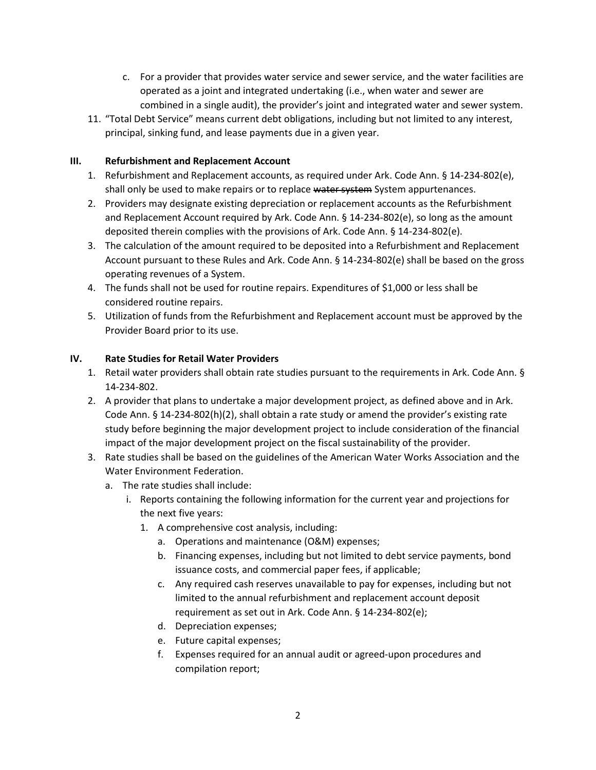- c. For a provider that provides water service and sewer service, and the water facilities are operated as a joint and integrated undertaking (i.e., when water and sewer are combined in a single audit), the provider's joint and integrated water and sewer system.
- 11. "Total Debt Service" means current debt obligations, including but not limited to any interest, principal, sinking fund, and lease payments due in a given year.

## **III. Refurbishment and Replacement Account**

- 1. Refurbishment and Replacement accounts, as required under Ark. Code Ann. § 14-234-802(e), shall only be used to make repairs or to replace water system System appurtenances.
- 2. Providers may designate existing depreciation or replacement accounts as the Refurbishment and Replacement Account required by Ark. Code Ann. § 14-234-802(e), so long as the amount deposited therein complies with the provisions of Ark. Code Ann. § 14-234-802(e).
- 3. The calculation of the amount required to be deposited into a Refurbishment and Replacement Account pursuant to these Rules and Ark. Code Ann. § 14-234-802(e) shall be based on the gross operating revenues of a System.
- 4. The funds shall not be used for routine repairs. Expenditures of \$1,000 or less shall be considered routine repairs.
- 5. Utilization of funds from the Refurbishment and Replacement account must be approved by the Provider Board prior to its use.

### **IV. Rate Studies for Retail Water Providers**

- 1. Retail water providers shall obtain rate studies pursuant to the requirements in Ark. Code Ann. § 14-234-802.
- 2. A provider that plans to undertake a major development project, as defined above and in Ark. Code Ann. § 14-234-802(h)(2), shall obtain a rate study or amend the provider's existing rate study before beginning the major development project to include consideration of the financial impact of the major development project on the fiscal sustainability of the provider.
- 3. Rate studies shall be based on the guidelines of the American Water Works Association and the Water Environment Federation.
	- a. The rate studies shall include:
		- i. Reports containing the following information for the current year and projections for the next five years:
			- 1. A comprehensive cost analysis, including:
				- a. Operations and maintenance (O&M) expenses;
				- b. Financing expenses, including but not limited to debt service payments, bond issuance costs, and commercial paper fees, if applicable;
				- c. Any required cash reserves unavailable to pay for expenses, including but not limited to the annual refurbishment and replacement account deposit requirement as set out in Ark. Code Ann. § 14-234-802(e);
				- d. Depreciation expenses;
				- e. Future capital expenses;
				- f. Expenses required for an annual audit or agreed-upon procedures and compilation report;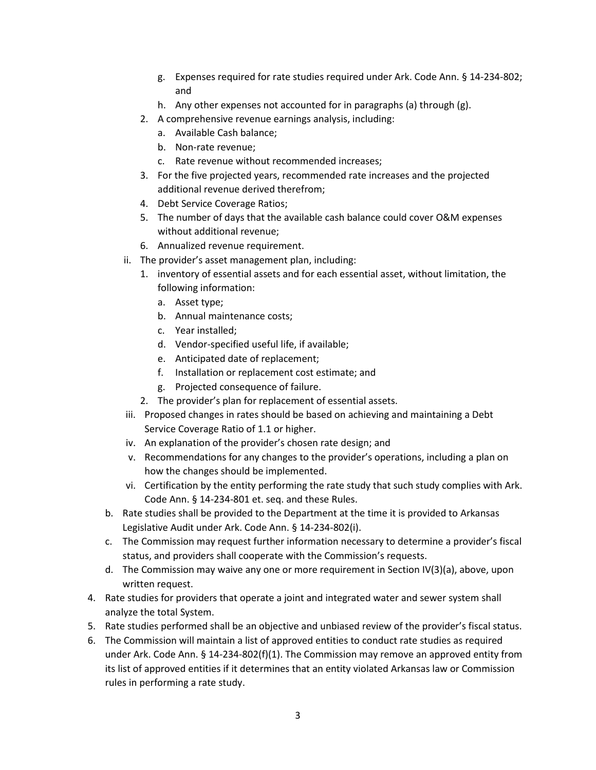- g. Expenses required for rate studies required under Ark. Code Ann. § 14-234-802; and
- h. Any other expenses not accounted for in paragraphs (a) through (g).
- 2. A comprehensive revenue earnings analysis, including:
	- a. Available Cash balance;
	- b. Non-rate revenue;
	- c. Rate revenue without recommended increases;
- 3. For the five projected years, recommended rate increases and the projected additional revenue derived therefrom;
- 4. Debt Service Coverage Ratios;
- 5. The number of days that the available cash balance could cover O&M expenses without additional revenue;
- 6. Annualized revenue requirement.
- ii. The provider's asset management plan, including:
	- 1. inventory of essential assets and for each essential asset, without limitation, the following information:
		- a. Asset type;
		- b. Annual maintenance costs;
		- c. Year installed;
		- d. Vendor-specified useful life, if available;
		- e. Anticipated date of replacement;
		- f. Installation or replacement cost estimate; and
		- g. Projected consequence of failure.
	- 2. The provider's plan for replacement of essential assets.
- iii. Proposed changes in rates should be based on achieving and maintaining a Debt Service Coverage Ratio of 1.1 or higher.
- iv. An explanation of the provider's chosen rate design; and
- v. Recommendations for any changes to the provider's operations, including a plan on how the changes should be implemented.
- vi. Certification by the entity performing the rate study that such study complies with Ark. Code Ann. § 14-234-801 et. seq. and these Rules.
- b. Rate studies shall be provided to the Department at the time it is provided to Arkansas Legislative Audit under Ark. Code Ann. § 14-234-802(i).
- c. The Commission may request further information necessary to determine a provider's fiscal status, and providers shall cooperate with the Commission's requests.
- d. The Commission may waive any one or more requirement in Section IV(3)(a), above, upon written request.
- 4. Rate studies for providers that operate a joint and integrated water and sewer system shall analyze the total System.
- 5. Rate studies performed shall be an objective and unbiased review of the provider's fiscal status.
- 6. The Commission will maintain a list of approved entities to conduct rate studies as required under Ark. Code Ann. § 14-234-802(f)(1). The Commission may remove an approved entity from its list of approved entities if it determines that an entity violated Arkansas law or Commission rules in performing a rate study.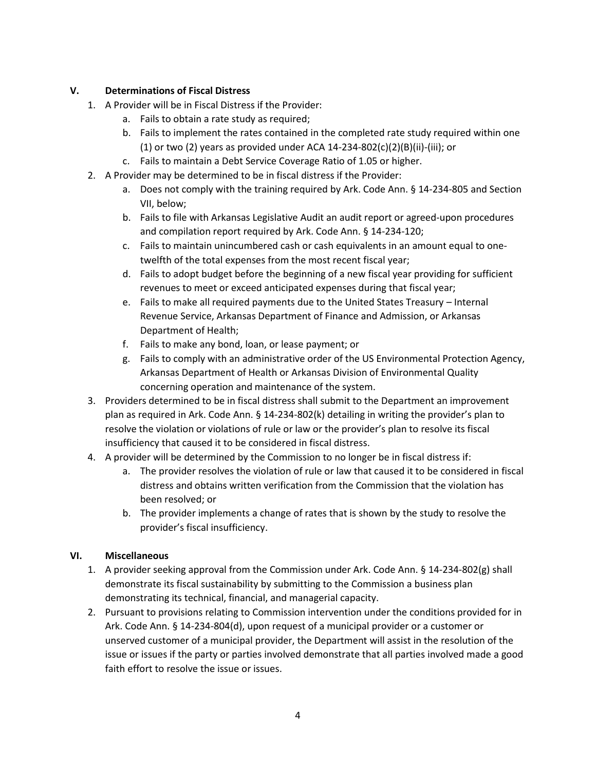## **V. Determinations of Fiscal Distress**

- 1. A Provider will be in Fiscal Distress if the Provider:
	- a. Fails to obtain a rate study as required;
	- b. Fails to implement the rates contained in the completed rate study required within one (1) or two (2) years as provided under ACA  $14$ -234-802(c)(2)(B)(ii)-(iii); or
	- c. Fails to maintain a Debt Service Coverage Ratio of 1.05 or higher.
- 2. A Provider may be determined to be in fiscal distress if the Provider:
	- a. Does not comply with the training required by Ark. Code Ann. § 14-234-805 and Section VII, below;
	- b. Fails to file with Arkansas Legislative Audit an audit report or agreed-upon procedures and compilation report required by Ark. Code Ann. § 14-234-120;
	- c. Fails to maintain unincumbered cash or cash equivalents in an amount equal to onetwelfth of the total expenses from the most recent fiscal year;
	- d. Fails to adopt budget before the beginning of a new fiscal year providing for sufficient revenues to meet or exceed anticipated expenses during that fiscal year;
	- e. Fails to make all required payments due to the United States Treasury Internal Revenue Service, Arkansas Department of Finance and Admission, or Arkansas Department of Health;
	- f. Fails to make any bond, loan, or lease payment; or
	- g. Fails to comply with an administrative order of the US Environmental Protection Agency, Arkansas Department of Health or Arkansas Division of Environmental Quality concerning operation and maintenance of the system.
- 3. Providers determined to be in fiscal distress shall submit to the Department an improvement plan as required in Ark. Code Ann. § 14-234-802(k) detailing in writing the provider's plan to resolve the violation or violations of rule or law or the provider's plan to resolve its fiscal insufficiency that caused it to be considered in fiscal distress.
- 4. A provider will be determined by the Commission to no longer be in fiscal distress if:
	- a. The provider resolves the violation of rule or law that caused it to be considered in fiscal distress and obtains written verification from the Commission that the violation has been resolved; or
	- b. The provider implements a change of rates that is shown by the study to resolve the provider's fiscal insufficiency.

# **VI. Miscellaneous**

- 1. A provider seeking approval from the Commission under Ark. Code Ann. § 14-234-802(g) shall demonstrate its fiscal sustainability by submitting to the Commission a business plan demonstrating its technical, financial, and managerial capacity.
- 2. Pursuant to provisions relating to Commission intervention under the conditions provided for in Ark. Code Ann. § 14-234-804(d), upon request of a municipal provider or a customer or unserved customer of a municipal provider, the Department will assist in the resolution of the issue or issues if the party or parties involved demonstrate that all parties involved made a good faith effort to resolve the issue or issues.